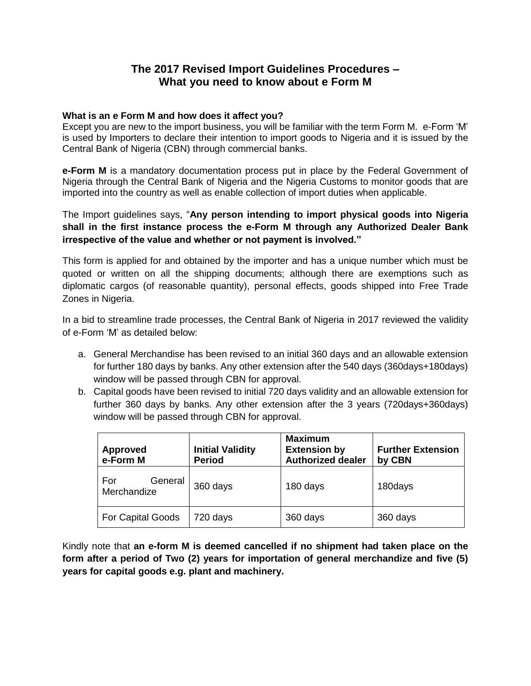# **The 2017 Revised Import Guidelines Procedures – What you need to know about e Form M**

### **What is an e Form M and how does it affect you?**

Except you are new to the import business, you will be familiar with the term Form M. e-Form 'M' is used by Importers to declare their intention to import goods to Nigeria and it is issued by the Central Bank of Nigeria (CBN) through commercial banks.

**e-Form M** is a mandatory documentation process put in place by the Federal Government of Nigeria through the Central Bank of Nigeria and the Nigeria Customs to monitor goods that are imported into the country as well as enable collection of import duties when applicable.

The Import guidelines says, "**Any person intending to import physical goods into Nigeria shall in the first instance process the e-Form M through any Authorized Dealer Bank irrespective of the value and whether or not payment is involved."**

This form is applied for and obtained by the importer and has a unique number which must be quoted or written on all the shipping documents; although there are exemptions such as diplomatic cargos (of reasonable quantity), personal effects, goods shipped into Free Trade Zones in Nigeria.

In a bid to streamline trade processes, the Central Bank of Nigeria in 2017 reviewed the validity of e-Form 'M' as detailed below:

- a. General Merchandise has been revised to an initial 360 days and an allowable extension for further 180 days by banks. Any other extension after the 540 days (360days+180days) window will be passed through CBN for approval.
- b. Capital goods have been revised to initial 720 days validity and an allowable extension for further 360 days by banks. Any other extension after the 3 years (720days+360days) window will be passed through CBN for approval.

| <b>Approved</b><br>e-Form M   | <b>Initial Validity</b><br><b>Period</b> | <b>Maximum</b><br><b>Extension by</b><br><b>Authorized dealer</b> | <b>Further Extension</b><br>by CBN |
|-------------------------------|------------------------------------------|-------------------------------------------------------------------|------------------------------------|
| General<br>For<br>Merchandize | 360 days                                 | 180 days                                                          | 180days                            |
| <b>For Capital Goods</b>      | 720 days                                 | 360 days                                                          | 360 days                           |

Kindly note that **an e-form M is deemed cancelled if no shipment had taken place on the form after a period of Two (2) years for importation of general merchandize and five (5) years for capital goods e.g. plant and machinery.**